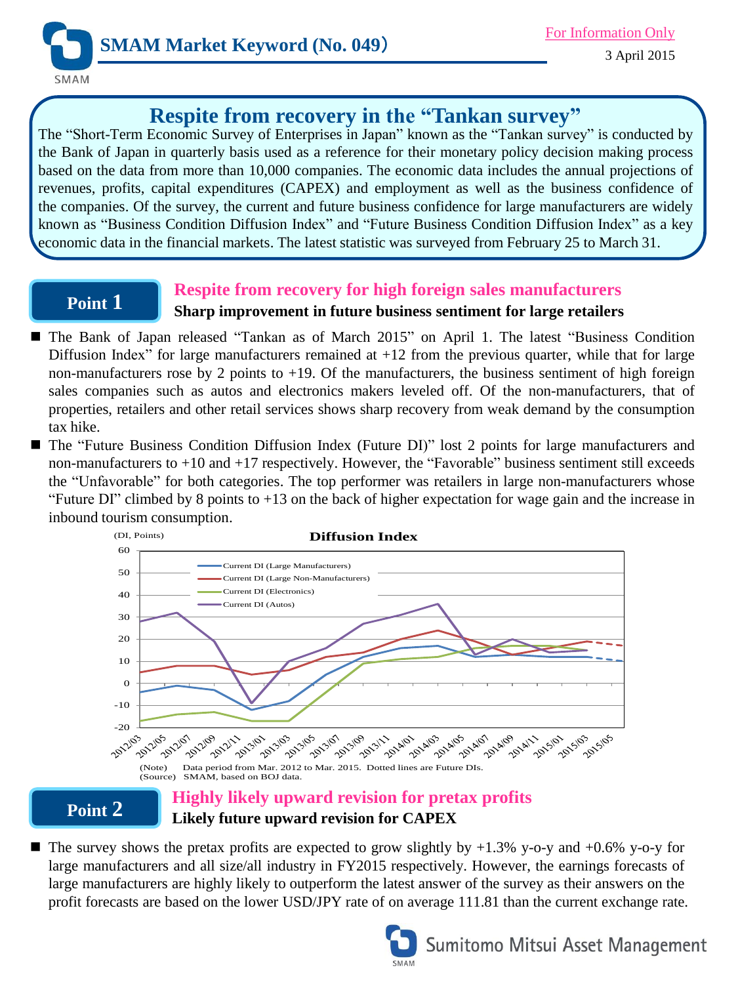

# **Respite from recovery in the "Tankan survey"**

The "Short-Term Economic Survey of Enterprises in Japan" known as the "Tankan survey" is conducted by the Bank of Japan in quarterly basis used as a reference for their monetary policy decision making process based on the data from more than 10,000 companies. The economic data includes the annual projections of revenues, profits, capital expenditures (CAPEX) and employment as well as the business confidence of the companies. Of the survey, the current and future business confidence for large manufacturers are widely known as "Business Condition Diffusion Index" and "Future Business Condition Diffusion Index" as a key economic data in the financial markets. The latest statistic was surveyed from February 25 to March 31.

## **Point 1**

## **Respite from recovery for high foreign sales manufacturers Sharp improvement in future business sentiment for large retailers**

- The Bank of Japan released "Tankan as of March 2015" on April 1. The latest "Business Condition Diffusion Index" for large manufacturers remained at +12 from the previous quarter, while that for large non-manufacturers rose by 2 points to  $+19$ . Of the manufacturers, the business sentiment of high foreign sales companies such as autos and electronics makers leveled off. Of the non-manufacturers, that of properties, retailers and other retail services shows sharp recovery from weak demand by the consumption tax hike.
- The "Future Business Condition Diffusion Index (Future DI)" lost 2 points for large manufacturers and non-manufacturers to +10 and +17 respectively. However, the "Favorable" business sentiment still exceeds the "Unfavorable" for both categories. The top performer was retailers in large non-manufacturers whose "Future DI" climbed by 8 points to  $+13$  on the back of higher expectation for wage gain and the increase in inbound tourism consumption.



**Point 2**

# **Likely future upward revision for CAPEX**

 $\blacksquare$  The survey shows the pretax profits are expected to grow slightly by +1.3% y-o-y and +0.6% y-o-y for large manufacturers and all size/all industry in FY2015 respectively. However, the earnings forecasts of large manufacturers are highly likely to outperform the latest answer of the survey as their answers on the profit forecasts are based on the lower USD/JPY rate of on average 111.81 than the current exchange rate.